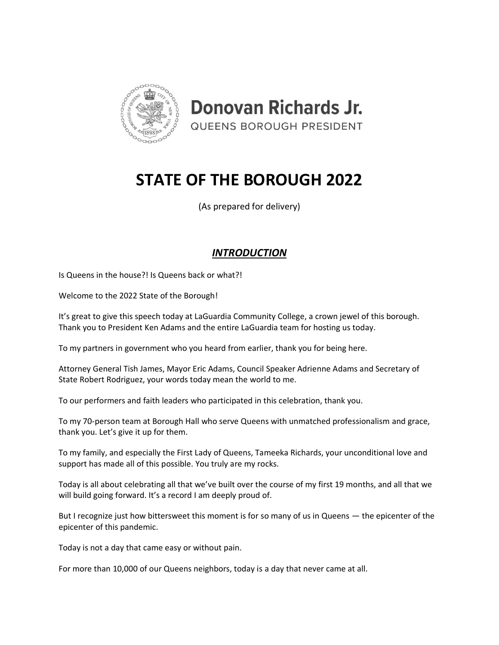

**Donovan Richards Jr. QUEENS BOROUGH PRESIDENT** 

# **STATE OF THE BOROUGH 2022**

(As prepared for delivery)

# *INTRODUCTION*

Is Queens in the house?! Is Queens back or what?!

Welcome to the 2022 State of the Borough!

It's great to give this speech today at LaGuardia Community College, a crown jewel of this borough. Thank you to President Ken Adams and the entire LaGuardia team for hosting us today.

To my partners in government who you heard from earlier, thank you for being here.

Attorney General Tish James, Mayor Eric Adams, Council Speaker Adrienne Adams and Secretary of State Robert Rodriguez, your words today mean the world to me.

To our performers and faith leaders who participated in this celebration, thank you.

To my 70-person team at Borough Hall who serve Queens with unmatched professionalism and grace, thank you. Let's give it up for them.

To my family, and especially the First Lady of Queens, Tameeka Richards, your unconditional love and support has made all of this possible. You truly are my rocks.

Today is all about celebrating all that we've built over the course of my first 19 months, and all that we will build going forward. It's a record I am deeply proud of.

But I recognize just how bittersweet this moment is for so many of us in Queens — the epicenter of the epicenter of this pandemic.

Today is not a day that came easy or without pain.

For more than 10,000 of our Queens neighbors, today is a day that never came at all.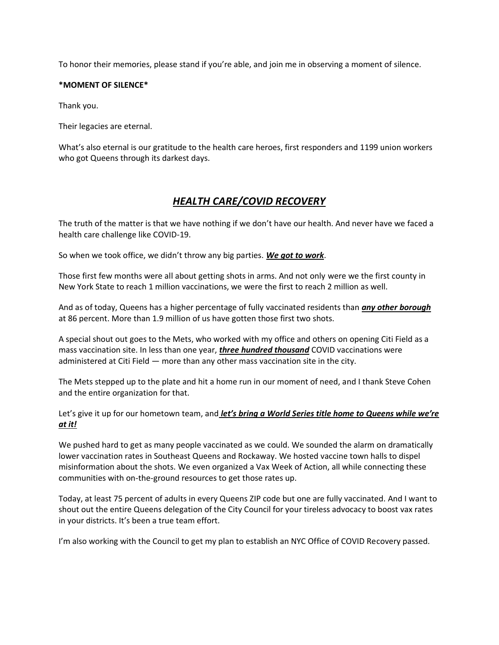To honor their memories, please stand if you're able, and join me in observing a moment of silence.

#### **\*MOMENT OF SILENCE\***

Thank you.

Their legacies are eternal.

What's also eternal is our gratitude to the health care heroes, first responders and 1199 union workers who got Queens through its darkest days.

# *HEALTH CARE/COVID RECOVERY*

The truth of the matter is that we have nothing if we don't have our health. And never have we faced a health care challenge like COVID-19.

So when we took office, we didn't throw any big parties. *We got to work*.

Those first few months were all about getting shots in arms. And not only were we the first county in New York State to reach 1 million vaccinations, we were the first to reach 2 million as well.

And as of today, Queens has a higher percentage of fully vaccinated residents than *any other borough* at 86 percent. More than 1.9 million of us have gotten those first two shots.

A special shout out goes to the Mets, who worked with my office and others on opening Citi Field as a mass vaccination site. In less than one year, *three hundred thousand* COVID vaccinations were administered at Citi Field — more than any other mass vaccination site in the city.

The Mets stepped up to the plate and hit a home run in our moment of need, and I thank Steve Cohen and the entire organization for that.

Let's give it up for our hometown team, and *let's bring a World Series title home to Queens while we're at it!*

We pushed hard to get as many people vaccinated as we could. We sounded the alarm on dramatically lower vaccination rates in Southeast Queens and Rockaway. We hosted vaccine town halls to dispel misinformation about the shots. We even organized a Vax Week of Action, all while connecting these communities with on-the-ground resources to get those rates up.

Today, at least 75 percent of adults in every Queens ZIP code but one are fully vaccinated. And I want to shout out the entire Queens delegation of the City Council for your tireless advocacy to boost vax rates in your districts. It's been a true team effort.

I'm also working with the Council to get my plan to establish an NYC Office of COVID Recovery passed.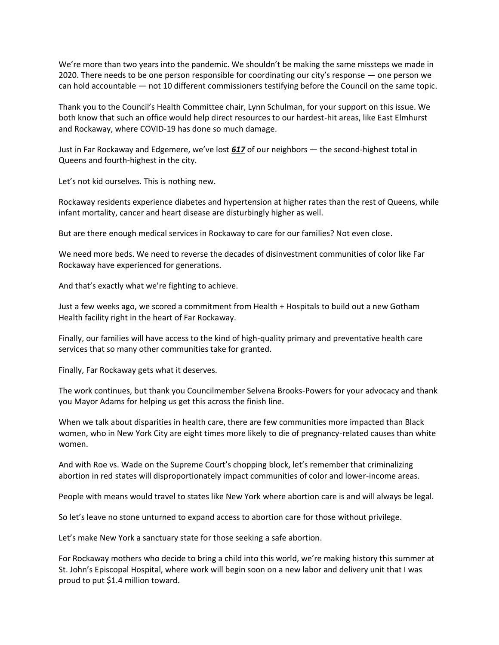We're more than two years into the pandemic. We shouldn't be making the same missteps we made in 2020. There needs to be one person responsible for coordinating our city's response — one person we can hold accountable — not 10 different commissioners testifying before the Council on the same topic.

Thank you to the Council's Health Committee chair, Lynn Schulman, for your support on this issue. We both know that such an office would help direct resources to our hardest-hit areas, like East Elmhurst and Rockaway, where COVID-19 has done so much damage.

Just in Far Rockaway and Edgemere, we've lost *617* of our neighbors — the second-highest total in Queens and fourth-highest in the city.

Let's not kid ourselves. This is nothing new.

Rockaway residents experience diabetes and hypertension at higher rates than the rest of Queens, while infant mortality, cancer and heart disease are disturbingly higher as well.

But are there enough medical services in Rockaway to care for our families? Not even close.

We need more beds. We need to reverse the decades of disinvestment communities of color like Far Rockaway have experienced for generations.

And that's exactly what we're fighting to achieve.

Just a few weeks ago, we scored a commitment from Health + Hospitals to build out a new Gotham Health facility right in the heart of Far Rockaway.

Finally, our families will have access to the kind of high-quality primary and preventative health care services that so many other communities take for granted.

Finally, Far Rockaway gets what it deserves.

The work continues, but thank you Councilmember Selvena Brooks-Powers for your advocacy and thank you Mayor Adams for helping us get this across the finish line.

When we talk about disparities in health care, there are few communities more impacted than Black women, who in New York City are eight times more likely to die of pregnancy-related causes than white women.

And with Roe vs. Wade on the Supreme Court's chopping block, let's remember that criminalizing abortion in red states will disproportionately impact communities of color and lower-income areas.

People with means would travel to states like New York where abortion care is and will always be legal.

So let's leave no stone unturned to expand access to abortion care for those without privilege.

Let's make New York a sanctuary state for those seeking a safe abortion.

For Rockaway mothers who decide to bring a child into this world, we're making history this summer at St. John's Episcopal Hospital, where work will begin soon on a new labor and delivery unit that I was proud to put \$1.4 million toward.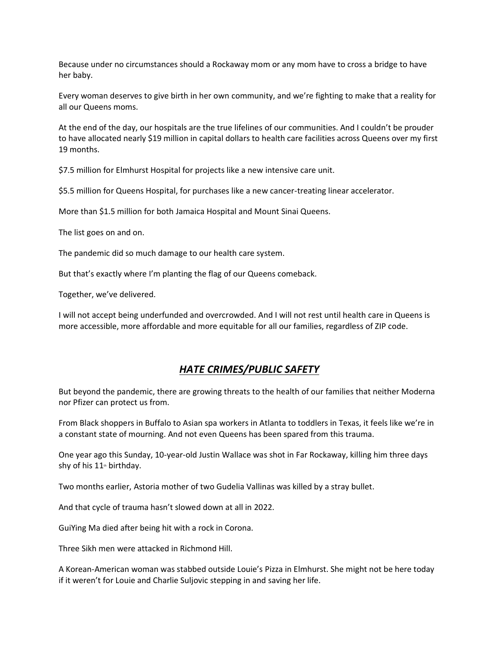Because under no circumstances should a Rockaway mom or any mom have to cross a bridge to have her baby.

Every woman deserves to give birth in her own community, and we're fighting to make that a reality for all our Queens moms.

At the end of the day, our hospitals are the true lifelines of our communities. And I couldn't be prouder to have allocated nearly \$19 million in capital dollars to health care facilities across Queens over my first 19 months.

\$7.5 million for Elmhurst Hospital for projects like a new intensive care unit.

\$5.5 million for Queens Hospital, for purchases like a new cancer-treating linear accelerator.

More than \$1.5 million for both Jamaica Hospital and Mount Sinai Queens.

The list goes on and on.

The pandemic did so much damage to our health care system.

But that's exactly where I'm planting the flag of our Queens comeback.

Together, we've delivered.

I will not accept being underfunded and overcrowded. And I will not rest until health care in Queens is more accessible, more affordable and more equitable for all our families, regardless of ZIP code.

## *HATE CRIMES/PUBLIC SAFETY*

But beyond the pandemic, there are growing threats to the health of our families that neither Moderna nor Pfizer can protect us from.

From Black shoppers in Buffalo to Asian spa workers in Atlanta to toddlers in Texas, it feels like we're in a constant state of mourning. And not even Queens has been spared from this trauma.

One year ago this Sunday, 10-year-old Justin Wallace was shot in Far Rockaway, killing him three days shy of his  $11<sup>th</sup>$  birthday.

Two months earlier, Astoria mother of two Gudelia Vallinas was killed by a stray bullet.

And that cycle of trauma hasn't slowed down at all in 2022.

GuiYing Ma died after being hit with a rock in Corona.

Three Sikh men were attacked in Richmond Hill.

A Korean-American woman was stabbed outside Louie's Pizza in Elmhurst. She might not be here today if it weren't for Louie and Charlie Suljovic stepping in and saving her life.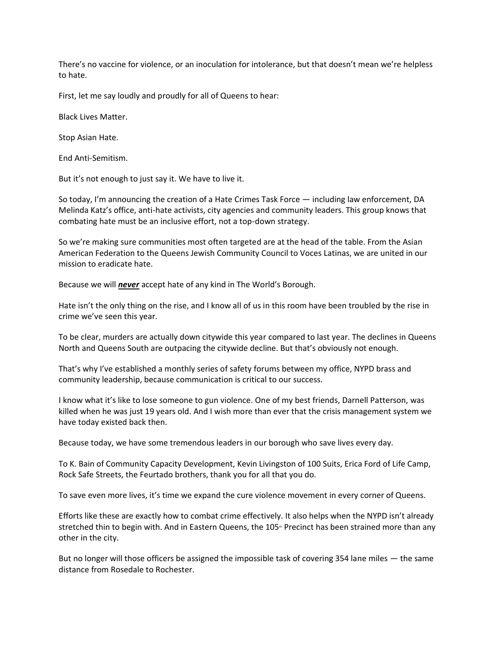There's no vaccine for violence, or an inoculation for intolerance, but that doesn't mean we're helpless to hate.

First, let me say loudly and proudly for all of Queens to hear:

Black Lives Matter.

Stop Asian Hate.

End Anti-Semitism.

But it's not enough to just say it. We have to live it.

So today, I'm announcing the creation of a Hate Crimes Task Force — including law enforcement, DA Melinda Katz's office, anti-hate activists, city agencies and community leaders. This group knows that combating hate must be an inclusive effort, not a top-down strategy.

So we're making sure communities most often targeted are at the head of the table. From the Asian American Federation to the Queens Jewish Community Council to Voces Latinas, we are united in our mission to eradicate hate.

Because we will *never* accept hate of any kind in The World's Borough.

Hate isn't the only thing on the rise, and I know all of us in this room have been troubled by the rise in crime we've seen this year.

To be clear, murders are actually down citywide this year compared to last year. The declines in Queens North and Queens South are outpacing the citywide decline. But that's obviously not enough.

That's why I've established a monthly series of safety forums between my office, NYPD brass and community leadership, because communication is critical to our success.

I know what it's like to lose someone to gun violence. One of my best friends, Darnell Patterson, was killed when he was just 19 years old. And I wish more than ever that the crisis management system we have today existed back then.

Because today, we have some tremendous leaders in our borough who save lives every day.

To K. Bain of Community Capacity Development, Kevin Livingston of 100 Suits, Erica Ford of Life Camp, Rock Safe Streets, the Feurtado brothers, thank you for all that you do.

To save even more lives, it's time we expand the cure violence movement in every corner of Queens.

Efforts like these are exactly how to combat crime effectively. It also helps when the NYPD isn't already stretched thin to begin with. And in Eastern Queens, the 105<sup>th</sup> Precinct has been strained more than any other in the city.

But no longer will those officers be assigned the impossible task of covering 354 lane miles — the same distance from Rosedale to Rochester.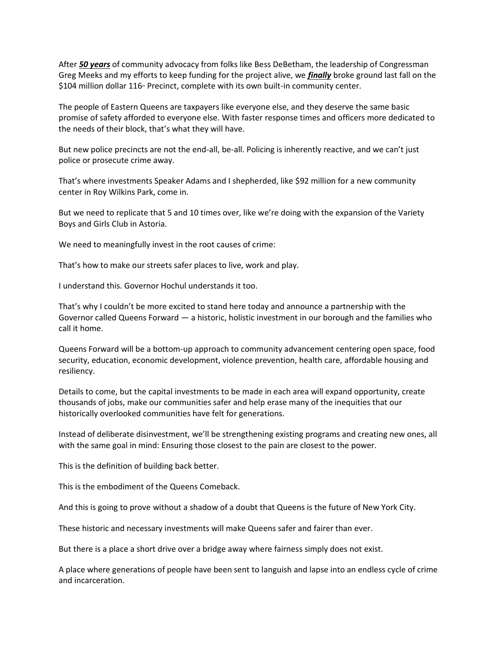After *50 years* of community advocacy from folks like Bess DeBetham, the leadership of Congressman Greg Meeks and my efforts to keep funding for the project alive, we *finally* broke ground last fall on the  $$104$  million dollar  $116$ <sup>th</sup> Precinct, complete with its own built-in community center.

The people of Eastern Queens are taxpayers like everyone else, and they deserve the same basic promise of safety afforded to everyone else. With faster response times and officers more dedicated to the needs of their block, that's what they will have.

But new police precincts are not the end-all, be-all. Policing is inherently reactive, and we can't just police or prosecute crime away.

That's where investments Speaker Adams and I shepherded, like \$92 million for a new community center in Roy Wilkins Park, come in.

But we need to replicate that 5 and 10 times over, like we're doing with the expansion of the Variety Boys and Girls Club in Astoria.

We need to meaningfully invest in the root causes of crime:

That's how to make our streets safer places to live, work and play.

I understand this. Governor Hochul understands it too.

That's why I couldn't be more excited to stand here today and announce a partnership with the Governor called Queens Forward — a historic, holistic investment in our borough and the families who call it home.

Queens Forward will be a bottom-up approach to community advancement centering open space, food security, education, economic development, violence prevention, health care, affordable housing and resiliency.

Details to come, but the capital investments to be made in each area will expand opportunity, create thousands of jobs, make our communities safer and help erase many of the inequities that our historically overlooked communities have felt for generations.

Instead of deliberate disinvestment, we'll be strengthening existing programs and creating new ones, all with the same goal in mind: Ensuring those closest to the pain are closest to the power.

This is the definition of building back better.

This is the embodiment of the Queens Comeback.

And this is going to prove without a shadow of a doubt that Queens is the future of New York City.

These historic and necessary investments will make Queens safer and fairer than ever.

But there is a place a short drive over a bridge away where fairness simply does not exist.

A place where generations of people have been sent to languish and lapse into an endless cycle of crime and incarceration.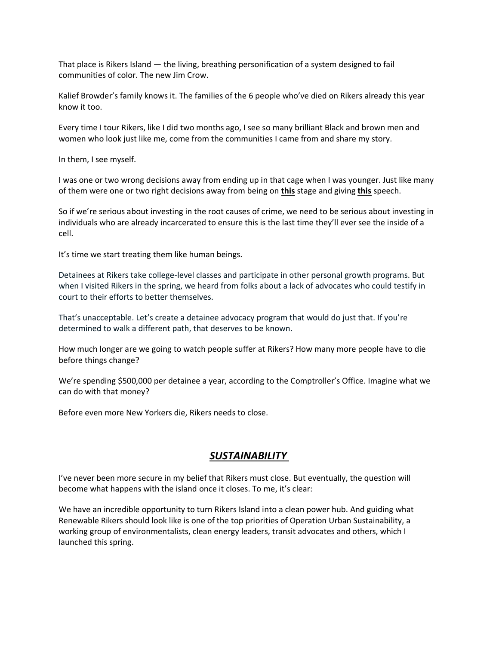That place is Rikers Island — the living, breathing personification of a system designed to fail communities of color. The new Jim Crow.

Kalief Browder's family knows it. The families of the 6 people who've died on Rikers already this year know it too.

Every time I tour Rikers, like I did two months ago, I see so many brilliant Black and brown men and women who look just like me, come from the communities I came from and share my story.

In them, I see myself.

I was one or two wrong decisions away from ending up in that cage when I was younger. Just like many of them were one or two right decisions away from being on **this** stage and giving **this** speech.

So if we're serious about investing in the root causes of crime, we need to be serious about investing in individuals who are already incarcerated to ensure this is the last time they'll ever see the inside of a cell.

It's time we start treating them like human beings.

Detainees at Rikers take college-level classes and participate in other personal growth programs. But when I visited Rikers in the spring, we heard from folks about a lack of advocates who could testify in court to their efforts to better themselves.

That's unacceptable. Let's create a detainee advocacy program that would do just that. If you're determined to walk a different path, that deserves to be known.

How much longer are we going to watch people suffer at Rikers? How many more people have to die before things change?

We're spending \$500,000 per detainee a year, according to the Comptroller's Office. Imagine what we can do with that money?

Before even more New Yorkers die, Rikers needs to close.

## *SUSTAINABILITY*

I've never been more secure in my belief that Rikers must close. But eventually, the question will become what happens with the island once it closes. To me, it's clear:

We have an incredible opportunity to turn Rikers Island into a clean power hub. And guiding what Renewable Rikers should look like is one of the top priorities of Operation Urban Sustainability, a working group of environmentalists, clean energy leaders, transit advocates and others, which I launched this spring.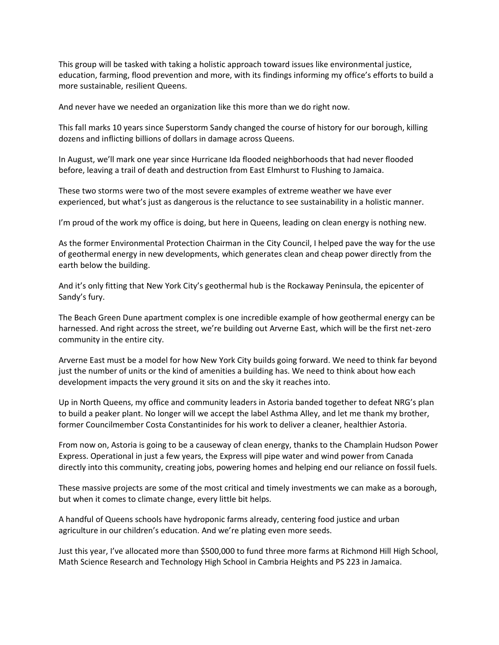This group will be tasked with taking a holistic approach toward issues like environmental justice, education, farming, flood prevention and more, with its findings informing my office's efforts to build a more sustainable, resilient Queens.

And never have we needed an organization like this more than we do right now.

This fall marks 10 years since Superstorm Sandy changed the course of history for our borough, killing dozens and inflicting billions of dollars in damage across Queens.

In August, we'll mark one year since Hurricane Ida flooded neighborhoods that had never flooded before, leaving a trail of death and destruction from East Elmhurst to Flushing to Jamaica.

These two storms were two of the most severe examples of extreme weather we have ever experienced, but what's just as dangerous is the reluctance to see sustainability in a holistic manner.

I'm proud of the work my office is doing, but here in Queens, leading on clean energy is nothing new.

As the former Environmental Protection Chairman in the City Council, I helped pave the way for the use of geothermal energy in new developments, which generates clean and cheap power directly from the earth below the building.

And it's only fitting that New York City's geothermal hub is the Rockaway Peninsula, the epicenter of Sandy's fury.

The Beach Green Dune apartment complex is one incredible example of how geothermal energy can be harnessed. And right across the street, we're building out Arverne East, which will be the first net-zero community in the entire city.

Arverne East must be a model for how New York City builds going forward. We need to think far beyond just the number of units or the kind of amenities a building has. We need to think about how each development impacts the very ground it sits on and the sky it reaches into.

Up in North Queens, my office and community leaders in Astoria banded together to defeat NRG's plan to build a peaker plant. No longer will we accept the label Asthma Alley, and let me thank my brother, former Councilmember Costa Constantinides for his work to deliver a cleaner, healthier Astoria.

From now on, Astoria is going to be a causeway of clean energy, thanks to the Champlain Hudson Power Express. Operational in just a few years, the Express will pipe water and wind power from Canada directly into this community, creating jobs, powering homes and helping end our reliance on fossil fuels.

These massive projects are some of the most critical and timely investments we can make as a borough, but when it comes to climate change, every little bit helps.

A handful of Queens schools have hydroponic farms already, centering food justice and urban agriculture in our children's education. And we're plating even more seeds.

Just this year, I've allocated more than \$500,000 to fund three more farms at Richmond Hill High School, Math Science Research and Technology High School in Cambria Heights and PS 223 in Jamaica.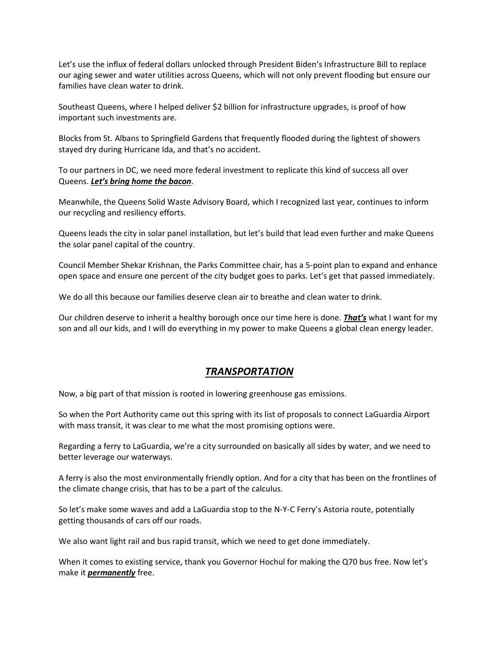Let's use the influx of federal dollars unlocked through President Biden's Infrastructure Bill to replace our aging sewer and water utilities across Queens, which will not only prevent flooding but ensure our families have clean water to drink.

Southeast Queens, where I helped deliver \$2 billion for infrastructure upgrades, is proof of how important such investments are.

Blocks from St. Albans to Springfield Gardens that frequently flooded during the lightest of showers stayed dry during Hurricane Ida, and that's no accident.

To our partners in DC, we need more federal investment to replicate this kind of success all over Queens. *Let's bring home the bacon*.

Meanwhile, the Queens Solid Waste Advisory Board, which I recognized last year, continues to inform our recycling and resiliency efforts.

Queens leads the city in solar panel installation, but let's build that lead even further and make Queens the solar panel capital of the country.

Council Member Shekar Krishnan, the Parks Committee chair, has a 5-point plan to expand and enhance open space and ensure one percent of the city budget goes to parks. Let's get that passed immediately.

We do all this because our families deserve clean air to breathe and clean water to drink.

Our children deserve to inherit a healthy borough once our time here is done. *That's* what I want for my son and all our kids, and I will do everything in my power to make Queens a global clean energy leader.

## *TRANSPORTATION*

Now, a big part of that mission is rooted in lowering greenhouse gas emissions.

So when the Port Authority came out this spring with its list of proposals to connect LaGuardia Airport with mass transit, it was clear to me what the most promising options were.

Regarding a ferry to LaGuardia, we're a city surrounded on basically all sides by water, and we need to better leverage our waterways.

A ferry is also the most environmentally friendly option. And for a city that has been on the frontlines of the climate change crisis, that has to be a part of the calculus.

So let's make some waves and add a LaGuardia stop to the N-Y-C Ferry's Astoria route, potentially getting thousands of cars off our roads.

We also want light rail and bus rapid transit, which we need to get done immediately.

When it comes to existing service, thank you Governor Hochul for making the Q70 bus free. Now let's make it *permanently* free.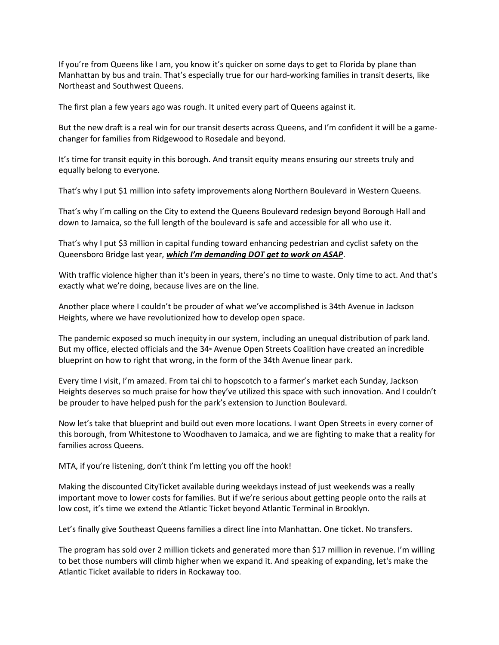If you're from Queens like I am, you know it's quicker on some days to get to Florida by plane than Manhattan by bus and train. That's especially true for our hard-working families in transit deserts, like Northeast and Southwest Queens.

The first plan a few years ago was rough. It united every part of Queens against it.

But the new draft is a real win for our transit deserts across Queens, and I'm confident it will be a gamechanger for families from Ridgewood to Rosedale and beyond.

It's time for transit equity in this borough. And transit equity means ensuring our streets truly and equally belong to everyone.

That's why I put \$1 million into safety improvements along Northern Boulevard in Western Queens.

That's why I'm calling on the City to extend the Queens Boulevard redesign beyond Borough Hall and down to Jamaica, so the full length of the boulevard is safe and accessible for all who use it.

That's why I put \$3 million in capital funding toward enhancing pedestrian and cyclist safety on the Queensboro Bridge last year, *which I'm demanding DOT get to work on ASAP*.

With traffic violence higher than it's been in years, there's no time to waste. Only time to act. And that's exactly what we're doing, because lives are on the line.

Another place where I couldn't be prouder of what we've accomplished is 34th Avenue in Jackson Heights, where we have revolutionized how to develop open space.

The pandemic exposed so much inequity in our system, including an unequal distribution of park land. But my office, elected officials and the 34<sup>th</sup> Avenue Open Streets Coalition have created an incredible blueprint on how to right that wrong, in the form of the 34th Avenue linear park.

Every time I visit, I'm amazed. From tai chi to hopscotch to a farmer's market each Sunday, Jackson Heights deserves so much praise for how they've utilized this space with such innovation. And I couldn't be prouder to have helped push for the park's extension to Junction Boulevard.

Now let's take that blueprint and build out even more locations. I want Open Streets in every corner of this borough, from Whitestone to Woodhaven to Jamaica, and we are fighting to make that a reality for families across Queens.

MTA, if you're listening, don't think I'm letting you off the hook!

Making the discounted CityTicket available during weekdays instead of just weekends was a really important move to lower costs for families. But if we're serious about getting people onto the rails at low cost, it's time we extend the Atlantic Ticket beyond Atlantic Terminal in Brooklyn.

Let's finally give Southeast Queens families a direct line into Manhattan. One ticket. No transfers.

The program has sold over 2 million tickets and generated more than \$17 million in revenue. I'm willing to bet those numbers will climb higher when we expand it. And speaking of expanding, let's make the Atlantic Ticket available to riders in Rockaway too.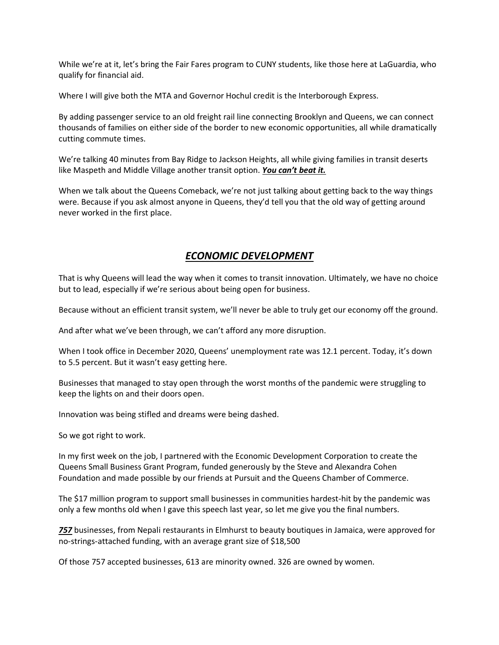While we're at it, let's bring the Fair Fares program to CUNY students, like those here at LaGuardia, who qualify for financial aid.

Where I will give both the MTA and Governor Hochul credit is the Interborough Express.

By adding passenger service to an old freight rail line connecting Brooklyn and Queens, we can connect thousands of families on either side of the border to new economic opportunities, all while dramatically cutting commute times.

We're talking 40 minutes from Bay Ridge to Jackson Heights, all while giving families in transit deserts like Maspeth and Middle Village another transit option. *You can't beat it.*

When we talk about the Queens Comeback, we're not just talking about getting back to the way things were. Because if you ask almost anyone in Queens, they'd tell you that the old way of getting around never worked in the first place.

## *ECONOMIC DEVELOPMENT*

That is why Queens will lead the way when it comes to transit innovation. Ultimately, we have no choice but to lead, especially if we're serious about being open for business.

Because without an efficient transit system, we'll never be able to truly get our economy off the ground.

And after what we've been through, we can't afford any more disruption.

When I took office in December 2020, Queens' unemployment rate was 12.1 percent. Today, it's down to 5.5 percent. But it wasn't easy getting here.

Businesses that managed to stay open through the worst months of the pandemic were struggling to keep the lights on and their doors open.

Innovation was being stifled and dreams were being dashed.

So we got right to work.

In my first week on the job, I partnered with the Economic Development Corporation to create the Queens Small Business Grant Program, funded generously by the Steve and Alexandra Cohen Foundation and made possible by our friends at Pursuit and the Queens Chamber of Commerce.

The \$17 million program to support small businesses in communities hardest-hit by the pandemic was only a few months old when I gave this speech last year, so let me give you the final numbers.

*757* businesses, from Nepali restaurants in Elmhurst to beauty boutiques in Jamaica, were approved for no-strings-attached funding, with an average grant size of \$18,500

Of those 757 accepted businesses, 613 are minority owned. 326 are owned by women.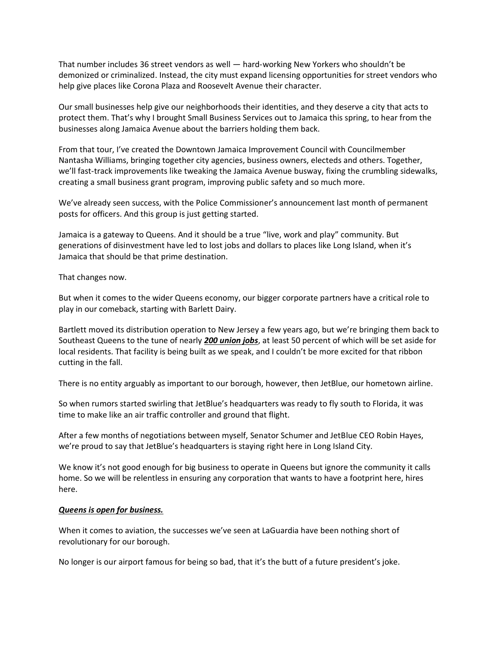That number includes 36 street vendors as well — hard-working New Yorkers who shouldn't be demonized or criminalized. Instead, the city must expand licensing opportunities for street vendors who help give places like Corona Plaza and Roosevelt Avenue their character.

Our small businesses help give our neighborhoods their identities, and they deserve a city that acts to protect them. That's why I brought Small Business Services out to Jamaica this spring, to hear from the businesses along Jamaica Avenue about the barriers holding them back.

From that tour, I've created the Downtown Jamaica Improvement Council with Councilmember Nantasha Williams, bringing together city agencies, business owners, electeds and others. Together, we'll fast-track improvements like tweaking the Jamaica Avenue busway, fixing the crumbling sidewalks, creating a small business grant program, improving public safety and so much more.

We've already seen success, with the Police Commissioner's announcement last month of permanent posts for officers. And this group is just getting started.

Jamaica is a gateway to Queens. And it should be a true "live, work and play" community. But generations of disinvestment have led to lost jobs and dollars to places like Long Island, when it's Jamaica that should be that prime destination.

That changes now.

But when it comes to the wider Queens economy, our bigger corporate partners have a critical role to play in our comeback, starting with Barlett Dairy.

Bartlett moved its distribution operation to New Jersey a few years ago, but we're bringing them back to Southeast Queens to the tune of nearly *200 union jobs*, at least 50 percent of which will be set aside for local residents. That facility is being built as we speak, and I couldn't be more excited for that ribbon cutting in the fall.

There is no entity arguably as important to our borough, however, then JetBlue, our hometown airline.

So when rumors started swirling that JetBlue's headquarters was ready to fly south to Florida, it was time to make like an air traffic controller and ground that flight.

After a few months of negotiations between myself, Senator Schumer and JetBlue CEO Robin Hayes, we're proud to say that JetBlue's headquarters is staying right here in Long Island City.

We know it's not good enough for big business to operate in Queens but ignore the community it calls home. So we will be relentless in ensuring any corporation that wants to have a footprint here, hires here.

#### *Queens is open for business.*

When it comes to aviation, the successes we've seen at LaGuardia have been nothing short of revolutionary for our borough.

No longer is our airport famous for being so bad, that it's the butt of a future president's joke.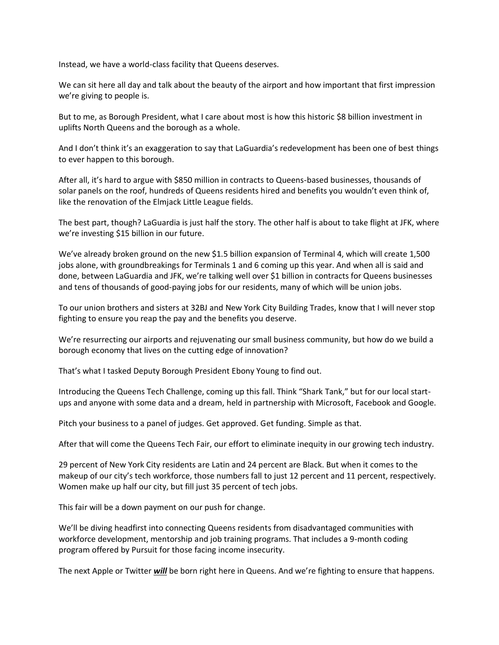Instead, we have a world-class facility that Queens deserves.

We can sit here all day and talk about the beauty of the airport and how important that first impression we're giving to people is.

But to me, as Borough President, what I care about most is how this historic \$8 billion investment in uplifts North Queens and the borough as a whole.

And I don't think it's an exaggeration to say that LaGuardia's redevelopment has been one of best things to ever happen to this borough.

After all, it's hard to argue with \$850 million in contracts to Queens-based businesses, thousands of solar panels on the roof, hundreds of Queens residents hired and benefits you wouldn't even think of, like the renovation of the Elmjack Little League fields.

The best part, though? LaGuardia is just half the story. The other half is about to take flight at JFK, where we're investing \$15 billion in our future.

We've already broken ground on the new \$1.5 billion expansion of Terminal 4, which will create 1,500 jobs alone, with groundbreakings for Terminals 1 and 6 coming up this year. And when all is said and done, between LaGuardia and JFK, we're talking well over \$1 billion in contracts for Queens businesses and tens of thousands of good-paying jobs for our residents, many of which will be union jobs.

To our union brothers and sisters at 32BJ and New York City Building Trades, know that I will never stop fighting to ensure you reap the pay and the benefits you deserve.

We're resurrecting our airports and rejuvenating our small business community, but how do we build a borough economy that lives on the cutting edge of innovation?

That's what I tasked Deputy Borough President Ebony Young to find out.

Introducing the Queens Tech Challenge, coming up this fall. Think "Shark Tank," but for our local startups and anyone with some data and a dream, held in partnership with Microsoft, Facebook and Google.

Pitch your business to a panel of judges. Get approved. Get funding. Simple as that.

After that will come the Queens Tech Fair, our effort to eliminate inequity in our growing tech industry.

29 percent of New York City residents are Latin and 24 percent are Black. But when it comes to the makeup of our city's tech workforce, those numbers fall to just 12 percent and 11 percent, respectively. Women make up half our city, but fill just 35 percent of tech jobs.

This fair will be a down payment on our push for change.

We'll be diving headfirst into connecting Queens residents from disadvantaged communities with workforce development, mentorship and job training programs. That includes a 9-month coding program offered by Pursuit for those facing income insecurity.

The next Apple or Twitter *will* be born right here in Queens. And we're fighting to ensure that happens.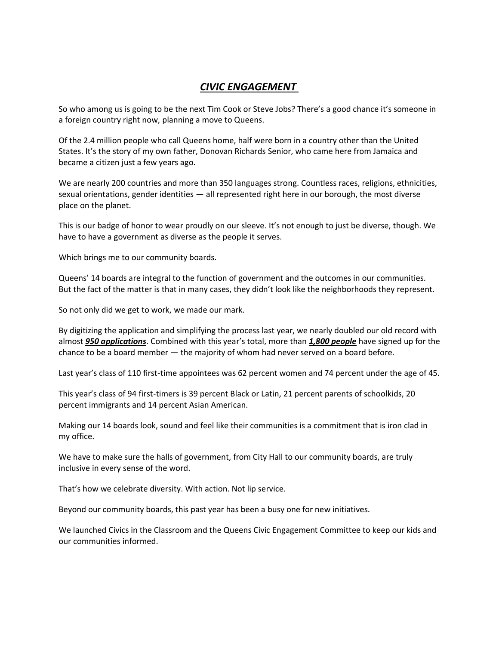# *CIVIC ENGAGEMENT*

So who among us is going to be the next Tim Cook or Steve Jobs? There's a good chance it's someone in a foreign country right now, planning a move to Queens.

Of the 2.4 million people who call Queens home, half were born in a country other than the United States. It's the story of my own father, Donovan Richards Senior, who came here from Jamaica and became a citizen just a few years ago.

We are nearly 200 countries and more than 350 languages strong. Countless races, religions, ethnicities, sexual orientations, gender identities — all represented right here in our borough, the most diverse place on the planet.

This is our badge of honor to wear proudly on our sleeve. It's not enough to just be diverse, though. We have to have a government as diverse as the people it serves.

Which brings me to our community boards.

Queens' 14 boards are integral to the function of government and the outcomes in our communities. But the fact of the matter is that in many cases, they didn't look like the neighborhoods they represent.

So not only did we get to work, we made our mark.

By digitizing the application and simplifying the process last year, we nearly doubled our old record with almost *950 applications*. Combined with this year's total, more than *1,800 people* have signed up for the chance to be a board member — the majority of whom had never served on a board before.

Last year's class of 110 first-time appointees was 62 percent women and 74 percent under the age of 45.

This year's class of 94 first-timers is 39 percent Black or Latin, 21 percent parents of schoolkids, 20 percent immigrants and 14 percent Asian American.

Making our 14 boards look, sound and feel like their communities is a commitment that is iron clad in my office.

We have to make sure the halls of government, from City Hall to our community boards, are truly inclusive in every sense of the word.

That's how we celebrate diversity. With action. Not lip service.

Beyond our community boards, this past year has been a busy one for new initiatives.

We launched Civics in the Classroom and the Queens Civic Engagement Committee to keep our kids and our communities informed.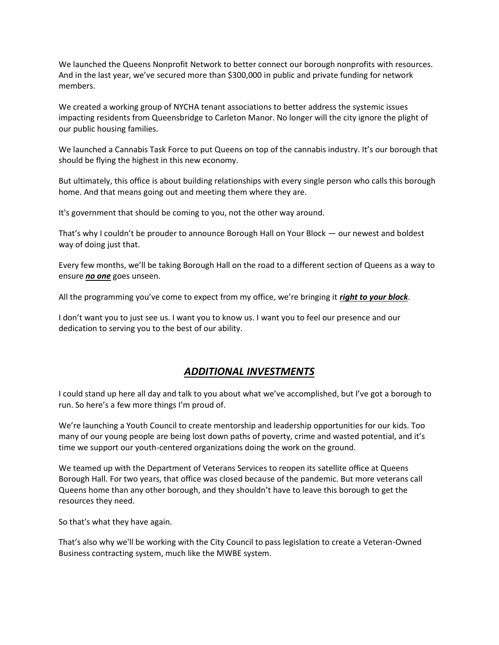We launched the Queens Nonprofit Network to better connect our borough nonprofits with resources. And in the last year, we've secured more than \$300,000 in public and private funding for network members.

We created a working group of NYCHA tenant associations to better address the systemic issues impacting residents from Queensbridge to Carleton Manor. No longer will the city ignore the plight of our public housing families.

We launched a Cannabis Task Force to put Queens on top of the cannabis industry. It's our borough that should be flying the highest in this new economy.

But ultimately, this office is about building relationships with every single person who calls this borough home. And that means going out and meeting them where they are.

It's government that should be coming to you, not the other way around.

That's why I couldn't be prouder to announce Borough Hall on Your Block — our newest and boldest way of doing just that.

Every few months, we'll be taking Borough Hall on the road to a different section of Queens as a way to ensure *no one* goes unseen.

All the programming you've come to expect from my office, we're bringing it *right to your block*.

I don't want you to just see us. I want you to know us. I want you to feel our presence and our dedication to serving you to the best of our ability.

## *ADDITIONAL INVESTMENTS*

I could stand up here all day and talk to you about what we've accomplished, but I've got a borough to run. So here's a few more things I'm proud of.

We're launching a Youth Council to create mentorship and leadership opportunities for our kids. Too many of our young people are being lost down paths of poverty, crime and wasted potential, and it's time we support our youth-centered organizations doing the work on the ground.

We teamed up with the Department of Veterans Services to reopen its satellite office at Queens Borough Hall. For two years, that office was closed because of the pandemic. But more veterans call Queens home than any other borough, and they shouldn't have to leave this borough to get the resources they need.

So that's what they have again.

That's also why we'll be working with the City Council to pass legislation to create a Veteran-Owned Business contracting system, much like the MWBE system.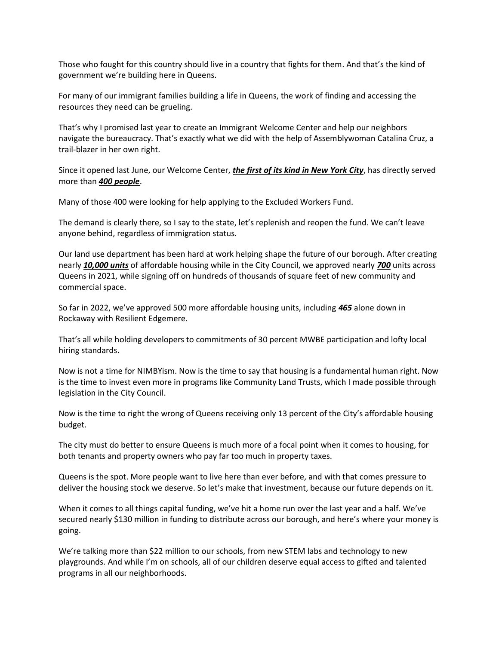Those who fought for this country should live in a country that fights for them. And that's the kind of government we're building here in Queens.

For many of our immigrant families building a life in Queens, the work of finding and accessing the resources they need can be grueling.

That's why I promised last year to create an Immigrant Welcome Center and help our neighbors navigate the bureaucracy. That's exactly what we did with the help of Assemblywoman Catalina Cruz, a trail-blazer in her own right.

Since it opened last June, our Welcome Center, *the first of its kind in New York City*, has directly served more than *400 people*.

Many of those 400 were looking for help applying to the Excluded Workers Fund.

The demand is clearly there, so I say to the state, let's replenish and reopen the fund. We can't leave anyone behind, regardless of immigration status.

Our land use department has been hard at work helping shape the future of our borough. After creating nearly *10,000 units* of affordable housing while in the City Council, we approved nearly *700* units across Queens in 2021, while signing off on hundreds of thousands of square feet of new community and commercial space.

So far in 2022, we've approved 500 more affordable housing units, including *465* alone down in Rockaway with Resilient Edgemere.

That's all while holding developers to commitments of 30 percent MWBE participation and lofty local hiring standards.

Now is not a time for NIMBYism. Now is the time to say that housing is a fundamental human right. Now is the time to invest even more in programs like Community Land Trusts, which I made possible through legislation in the City Council.

Now is the time to right the wrong of Queens receiving only 13 percent of the City's affordable housing budget.

The city must do better to ensure Queens is much more of a focal point when it comes to housing, for both tenants and property owners who pay far too much in property taxes.

Queens is the spot. More people want to live here than ever before, and with that comes pressure to deliver the housing stock we deserve. So let's make that investment, because our future depends on it.

When it comes to all things capital funding, we've hit a home run over the last year and a half. We've secured nearly \$130 million in funding to distribute across our borough, and here's where your money is going.

We're talking more than \$22 million to our schools, from new STEM labs and technology to new playgrounds. And while I'm on schools, all of our children deserve equal access to gifted and talented programs in all our neighborhoods.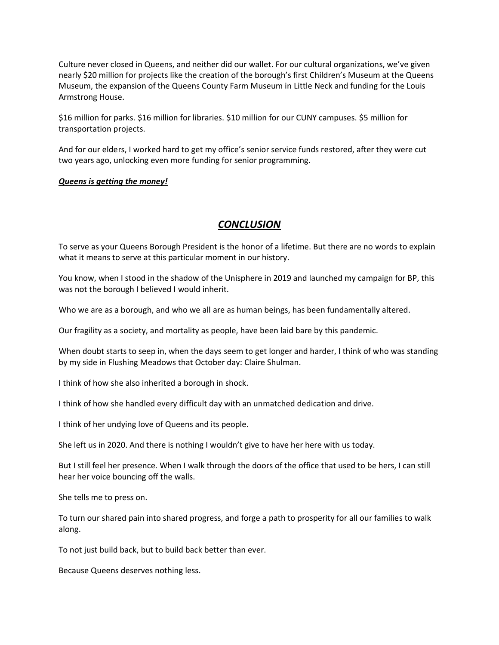Culture never closed in Queens, and neither did our wallet. For our cultural organizations, we've given nearly \$20 million for projects like the creation of the borough's first Children's Museum at the Queens Museum, the expansion of the Queens County Farm Museum in Little Neck and funding for the Louis Armstrong House.

\$16 million for parks. \$16 million for libraries. \$10 million for our CUNY campuses. \$5 million for transportation projects.

And for our elders, I worked hard to get my office's senior service funds restored, after they were cut two years ago, unlocking even more funding for senior programming.

#### *Queens is getting the money!*

## *CONCLUSION*

To serve as your Queens Borough President is the honor of a lifetime. But there are no words to explain what it means to serve at this particular moment in our history.

You know, when I stood in the shadow of the Unisphere in 2019 and launched my campaign for BP, this was not the borough I believed I would inherit.

Who we are as a borough, and who we all are as human beings, has been fundamentally altered.

Our fragility as a society, and mortality as people, have been laid bare by this pandemic.

When doubt starts to seep in, when the days seem to get longer and harder, I think of who was standing by my side in Flushing Meadows that October day: Claire Shulman.

I think of how she also inherited a borough in shock.

I think of how she handled every difficult day with an unmatched dedication and drive.

I think of her undying love of Queens and its people.

She left us in 2020. And there is nothing I wouldn't give to have her here with us today.

But I still feel her presence. When I walk through the doors of the office that used to be hers, I can still hear her voice bouncing off the walls.

She tells me to press on.

To turn our shared pain into shared progress, and forge a path to prosperity for all our families to walk along.

To not just build back, but to build back better than ever.

Because Queens deserves nothing less.